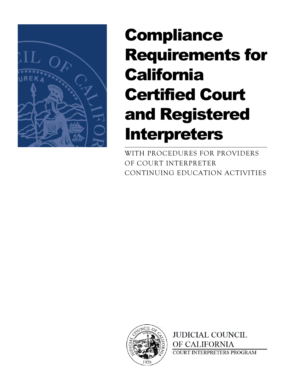

# **Compliance** Requirements for **California** Certified Court and Registered Interpreters

WITH PROCEDURES FOR PROVIDERS OF COURT INTERPRETER CONTINUING EDUCATION ACTIVITIES



**JUDICIAL COUNCIL** OF CALIFORNIA **COURT INTERPRETERS PROGRAM**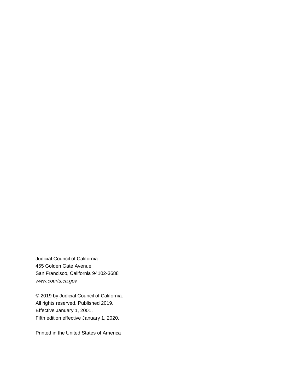Judicial Council of California 455 Golden Gate Avenue San Francisco, California 94102-3688 *www.courts.ca.gov*

© 2019 by Judicial Council of California. All rights reserved. Published 2019. Effective January 1, 2001. Fifth edition effective January 1, 2020.

Printed in the United States of America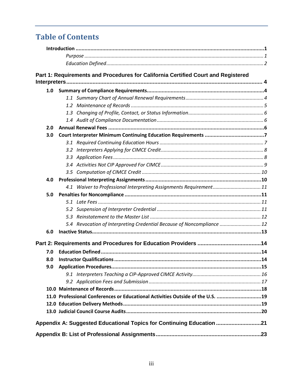# **Table of Contents**

|     | Part 1: Requirements and Procedures for California Certified Court and Registered |  |  |  |
|-----|-----------------------------------------------------------------------------------|--|--|--|
|     |                                                                                   |  |  |  |
|     |                                                                                   |  |  |  |
|     |                                                                                   |  |  |  |
|     |                                                                                   |  |  |  |
|     |                                                                                   |  |  |  |
|     |                                                                                   |  |  |  |
| 2.0 |                                                                                   |  |  |  |
| 3.0 |                                                                                   |  |  |  |
|     |                                                                                   |  |  |  |
|     |                                                                                   |  |  |  |
|     |                                                                                   |  |  |  |
|     |                                                                                   |  |  |  |
|     |                                                                                   |  |  |  |
| 4.0 |                                                                                   |  |  |  |
|     | 4.1 Waiver to Professional Interpreting Assignments Requirement11                 |  |  |  |
| 5.0 |                                                                                   |  |  |  |
|     |                                                                                   |  |  |  |
|     |                                                                                   |  |  |  |
|     |                                                                                   |  |  |  |
|     | 5.4 Revocation of Interpreting Credential Because of Noncompliance  12            |  |  |  |
| 6.0 |                                                                                   |  |  |  |
|     |                                                                                   |  |  |  |
| 7.0 |                                                                                   |  |  |  |
| 8.0 |                                                                                   |  |  |  |
|     |                                                                                   |  |  |  |
|     |                                                                                   |  |  |  |
|     |                                                                                   |  |  |  |
|     |                                                                                   |  |  |  |
|     | 11.0 Professional Conferences or Educational Activities Outside of the U.S. 19    |  |  |  |
|     |                                                                                   |  |  |  |
|     |                                                                                   |  |  |  |
|     | Appendix A: Suggested Educational Topics for Continuing Education 21              |  |  |  |
|     |                                                                                   |  |  |  |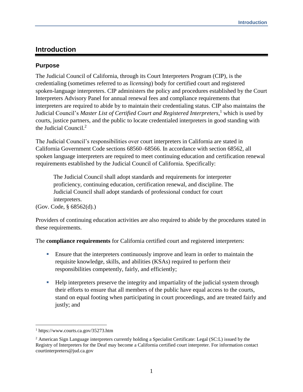# <span id="page-3-0"></span>**Introduction**

# <span id="page-3-1"></span>**Purpose**

The Judicial Council of California, through its Court Interpreters Program (CIP), is the credentialing (sometimes referred to as *licensing*) body for certified court and registered spoken-language interpreters. CIP administers the policy and procedures established by the Court Interpreters Advisory Panel for annual renewal fees and compliance requirements that interpreters are required to abide by to maintain their credentialing status. CIP also maintains the Judicial Council's *Master List of Certified Court and Registered Interpreters*, <sup>1</sup> which is used by courts, justice partners, and the public to locate credentialed interpreters in good standing with the Judicial Council.<sup>2</sup>

The Judicial Council's responsibilities over court interpreters in California are stated in California Government Code sections 68560–68566. In accordance with section 68562, all spoken language interpreters are required to meet continuing education and certification renewal requirements established by the Judicial Council of California. Specifically:

The Judicial Council shall adopt standards and requirements for interpreter proficiency, continuing education, certification renewal, and discipline. The Judicial Council shall adopt standards of professional conduct for court interpreters.

(Gov. Code, § 68562(d).)

Providers of continuing education activities are also required to abide by the procedures stated in these requirements.

The **compliance requirements** for California certified court and registered interpreters:

- **Ensure that the interpreters continuously improve and learn in order to maintain the** requisite knowledge, skills, and abilities (KSAs) required to perform their responsibilities competently, fairly, and efficiently;
- Help interpreters preserve the integrity and impartiality of the judicial system through their efforts to ensure that all members of the public have equal access to the courts, stand on equal footing when participating in court proceedings, and are treated fairly and justly; and

 $\overline{a}$ 

<sup>1</sup> https://www.courts.ca.gov/35273.htm

<sup>2</sup> American Sign Language interpreters currently holding a Specialist Certificate: Legal (SC:L) issued by the Registry of Interpreters for the Deaf may become a California certified court interpreter. For information contact courtinterpreters@jud.ca.gov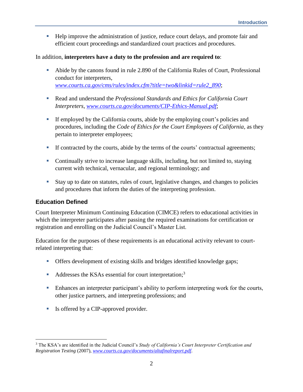■ Help improve the administration of justice, reduce court delays, and promote fair and efficient court proceedings and standardized court practices and procedures.

#### In addition, **interpreters have a duty to the profession and are required to**:

- Abide by the canons found in rule 2.890 of the California Rules of Court, Professional conduct for interpreters, *[www.courts.ca.gov/cms/rules/index.cfm?title=two&linkid=rule2\\_890](https://www.courts.ca.gov/cms/rules/index.cfm?title=two&linkid=rule2_890)*;
- Read and understand the *Professional Standards and Ethics for California Court Interpreters*, *[www.courts.ca.gov/documents/CIP-Ethics-Manual.pdf](https://www.courts.ca.gov/documents/CIP-Ethics-Manual.pdf)*;
- If employed by the California courts, abide by the employing court's policies and procedures, including the *Code of Ethics for the Court Employees of California,* as they pertain to interpreter employees;
- If contracted by the courts, abide by the terms of the courts' contractual agreements;
- Continually strive to increase language skills, including, but not limited to, staying current with technical, vernacular, and regional terminology; and
- Stay up to date on statutes, rules of court, legislative changes, and changes to policies and procedures that inform the duties of the interpreting profession.

# <span id="page-4-0"></span>**Education Defined**

 $\overline{a}$ 

Court Interpreter Minimum Continuing Education (CIMCE) refers to educational activities in which the interpreter participates after passing the required examinations for certification or registration and enrolling on the Judicial Council's Master List.

Education for the purposes of these requirements is an educational activity relevant to courtrelated interpreting that:

- **•** Offers development of existing skills and bridges identified knowledge gaps;
- $\blacksquare$  Addresses the KSAs essential for court interpretation;<sup>3</sup>
- **Enhances an interpreter participant's ability to perform interpreting work for the courts,** other justice partners, and interpreting professions; and
- Is offered by a CIP-approved provider.

<sup>3</sup> The KSA's are identified in the Judicial Council's *Study of California's Court Interpreter Certification and Registration Testing* (2007), *[www.courts.ca.gov/documents/altafinalreport.pdf](https://www.courts.ca.gov/documents/altafinalreport.pdf)*.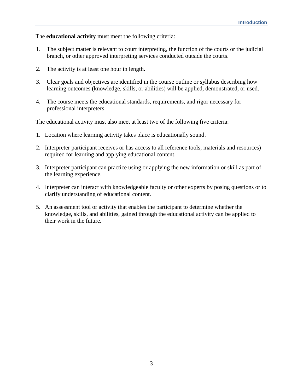#### The **educational activity** must meet the following criteria:

- 1. The subject matter is relevant to court interpreting, the function of the courts or the judicial branch, or other approved interpreting services conducted outside the courts.
- 2. The activity is at least one hour in length.
- 3. Clear goals and objectives are identified in the course outline or syllabus describing how learning outcomes (knowledge, skills, or abilities) will be applied, demonstrated, or used.
- 4. The course meets the educational standards, requirements, and rigor necessary for professional interpreters.

The educational activity must also meet at least two of the following five criteria:

- 1. Location where learning activity takes place is educationally sound.
- 2. Interpreter participant receives or has access to all reference tools, materials and resources) required for learning and applying educational content.
- 3. Interpreter participant can practice using or applying the new information or skill as part of the learning experience.
- 4. Interpreter can interact with knowledgeable faculty or other experts by posing questions or to clarify understanding of educational content.
- 5. An assessment tool or activity that enables the participant to determine whether the knowledge, skills, and abilities, gained through the educational activity can be applied to their work in the future.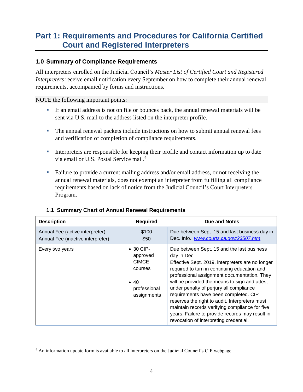# <span id="page-6-0"></span>**Part 1: Requirements and Procedures for California Certified Court and Registered Interpreters**

# <span id="page-6-1"></span>**1.0 Summary of Compliance Requirements**

All interpreters enrolled on the Judicial Council's *Master List of Certified Court and Registered Interpreters* receive email notification every September on how to complete their annual renewal requirements, accompanied by forms and instructions.

NOTE the following important points:

 $\overline{a}$ 

- If an email address is not on file or bounces back, the annual renewal materials will be sent via U.S. mail to the address listed on the interpreter profile.
- **The annual renewal packets include instructions on how to submit annual renewal fees** and verification of completion of compliance requirements.
- **EXECUTE:** Interpreters are responsible for keeping their profile and contact information up to date via email or U.S. Postal Service mail. 4
- Failure to provide a current mailing address and/or email address, or not receiving the annual renewal materials, does not exempt an interpreter from fulfilling all compliance requirements based on lack of notice from the Judicial Council's Court Interpreters Program.

| <b>Description</b>                                                   | <b>Required</b>                                                                                         | Due and Notes                                                                                                                                                                                                                                                                                                                                                                                                                                                                                                                                      |
|----------------------------------------------------------------------|---------------------------------------------------------------------------------------------------------|----------------------------------------------------------------------------------------------------------------------------------------------------------------------------------------------------------------------------------------------------------------------------------------------------------------------------------------------------------------------------------------------------------------------------------------------------------------------------------------------------------------------------------------------------|
| Annual Fee (active interpreter)<br>Annual Fee (inactive interpreter) | \$100<br>\$50                                                                                           | Due between Sept. 15 and last business day in<br>Dec. Info.: www.courts.ca.gov/23507.htm                                                                                                                                                                                                                                                                                                                                                                                                                                                           |
| Every two years                                                      | $\bullet$ 30 CIP-<br>approved<br><b>CIMCE</b><br>courses<br>$\bullet$ 40<br>professional<br>assignments | Due between Sept. 15 and the last business<br>day in Dec.<br>Effective Sept. 2019, interpreters are no longer<br>required to turn in continuing education and<br>professional assignment documentation. They<br>will be provided the means to sign and attest<br>under penalty of perjury all compliance<br>requirements have been completed. CIP<br>reserves the right to audit. Interpreters must<br>maintain records verifying compliance for five<br>years. Failure to provide records may result in<br>revocation of interpreting credential. |

#### <span id="page-6-2"></span>**1.1 Summary Chart of Annual Renewal Requirements**

<sup>4</sup> An information update form is available to all interpreters on the Judicial Council's CIP webpage.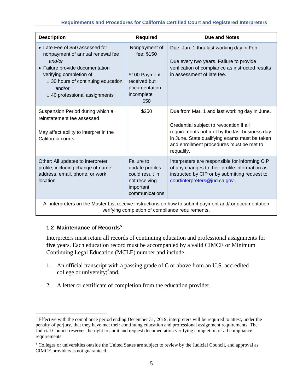#### **Requirements and Procedures for California Certified Court and Registered Interpreters**

| <b>Description</b>                                                                                                                                                                                                                  | <b>Required</b>                                                                                     | <b>Due and Notes</b>                                                                                                                                                                                                                                 |  |  |
|-------------------------------------------------------------------------------------------------------------------------------------------------------------------------------------------------------------------------------------|-----------------------------------------------------------------------------------------------------|------------------------------------------------------------------------------------------------------------------------------------------------------------------------------------------------------------------------------------------------------|--|--|
| • Late Fee of \$50 assessed for<br>nonpayment of annual renewal fee<br>and/or<br>• Failure provide documentation<br>verifying completion of:<br>o 30 hours of continuing education<br>and/or<br>$\circ$ 40 professional assignments | Nonpayment of<br>fee: \$150<br>\$100 Payment<br>received but<br>documentation<br>incomplete<br>\$50 | Due: Jan. 1 thru last working day in Feb.<br>Due every two years. Failure to provide<br>verification of compliance as instructed results<br>in assessment of late fee.                                                                               |  |  |
| Suspension Period during which a<br>reinstatement fee assessed<br>May affect ability to interpret in the<br>California courts                                                                                                       | \$250                                                                                               | Due from Mar. 1 and last working day in June.<br>Credential subject to revocation if all<br>requirements not met by the last business day<br>in June. State qualifying exams must be taken<br>and enrollment procedures must be met to<br>requalify. |  |  |
| Other: All updates to interpreter<br>profile, including change of name,<br>address, email, phone, or work<br>location                                                                                                               | Failure to<br>update profiles<br>could result in<br>not receiving<br>important<br>communications    | Interpreters are responsible for informing CIP<br>of any changes to their profile information as<br>instructed by CIP or by submitting request to<br>courtinterpreters@jud.ca.gov                                                                    |  |  |
| All interpreters on the Master List receive instructions on how to submit payment and/ or documentation                                                                                                                             |                                                                                                     |                                                                                                                                                                                                                                                      |  |  |

All interpreters on the Master List receive instructions on how to submit payment and/ or documentation verifying completion of compliance requirements.

#### <span id="page-7-0"></span>**1.2 Maintenance of Records<sup>5</sup>**

 $\overline{a}$ 

Interpreters must retain all records of continuing education and professional assignments for **five** years. Each education record must be accompanied by a valid CIMCE or Minimum Continuing Legal Education (MCLE) number and include:

- 1. An official transcript with a passing grade of C or above from an U.S. accredited college or university;<sup>6</sup> and,
- 2. A letter or certificate of completion from the education provider.

<sup>5</sup> Effective with the compliance period ending December 31, 2019, interpreters will be required to attest, under the penalty of perjury, that they have met their continuing education and professional assignment requirements. The Judicial Council reserves the right to audit and request documentation verifying completion of all compliance requirements.

<sup>6</sup> Colleges or universities outside the United States are subject to review by the Judicial Council, and approval as CIMCE providers is not guaranteed.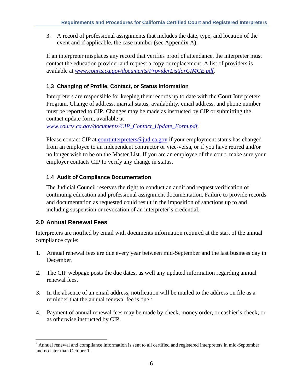3. A record of professional assignments that includes the date, type, and location of the event and if applicable, the case number (see Appendix A).

If an interpreter misplaces any record that verifies proof of attendance, the interpreter must contact the education provider and request a copy or replacement. A list of providers is available at *[www.courts.ca.gov/documents/ProviderListforCIMCE.pdf](https://www.courts.ca.gov/documents/ProviderListforCIMCE.pdf)*.

# <span id="page-8-0"></span>**1.3 Changing of Profile, Contact, or Status Information**

Interpreters are responsible for keeping their records up to date with the Court Interpreters Program. Change of address, marital status, availability, email address, and phone number must be reported to CIP. Changes may be made as instructed by CIP or submitting the contact update form, available at

*[www.courts.ca.gov/documents/CIP\\_Contact\\_Update\\_Form.pdf](https://www.courts.ca.gov/documents/CIP_Contact_Update_Form.pdf)*.

Please contact CIP at [courtinterpreters@jud.ca.gov](mailto:courtinterpreters@jud.ca.gov) if your employment status has changed from an employee to an independent contractor or vice-versa, or if you have retired and/or no longer wish to be on the Master List. If you are an employee of the court, make sure your employer contacts CIP to verify any change in status.

#### <span id="page-8-1"></span>**1.4 Audit of Compliance Documentation**

The Judicial Council reserves the right to conduct an audit and request verification of continuing education and professional assignment documentation. Failure to provide records and documentation as requested could result in the imposition of sanctions up to and including suspension or revocation of an interpreter's credential.

# <span id="page-8-2"></span>**2.0 Annual Renewal Fees**

 $\overline{a}$ 

Interpreters are notified by email with documents information required at the start of the annual compliance cycle:

- 1. Annual renewal fees are due every year between mid-September and the last business day in December.
- 2. The CIP webpage posts the due dates, as well any updated information regarding annual renewal fees.
- 3. In the absence of an email address, notification will be mailed to the address on file as a reminder that the annual renewal fee is due.<sup>7</sup>
- 4. Payment of annual renewal fees may be made by check, money order, or cashier's check; or as otherwise instructed by CIP.

 $<sup>7</sup>$  Annual renewal and compliance information is sent to all certified and registered interpreters in mid-September</sup> and no later than October 1.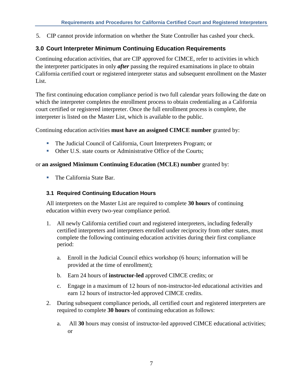5. CIP cannot provide information on whether the State Controller has cashed your check.

# <span id="page-9-0"></span>**3.0 Court Interpreter Minimum Continuing Education Requirements**

Continuing education activities, that are CIP approved for CIMCE, refer to activities in which the interpreter participates in only *after* passing the required examinations in place to obtain California certified court or registered interpreter status and subsequent enrollment on the Master List.

The first continuing education compliance period is two full calendar years following the date on which the interpreter completes the enrollment process to obtain credentialing as a California court certified or registered interpreter. Once the full enrollment process is complete, the interpreter is listed on the Master List, which is available to the public.

Continuing education activities **must have an assigned CIMCE number** granted by:

- **The Judicial Council of California, Court Interpreters Program; or**
- Other U.S. state courts or Administrative Office of the Courts;

#### or **an assigned Minimum Continuing Education (MCLE) number** granted by:

■ The California State Bar.

#### <span id="page-9-1"></span>**3.1 Required Continuing Education Hours**

All interpreters on the Master List are required to complete **30 hours** of continuing education within every two-year compliance period.

- 1. All newly California certified court and registered interpreters, including federally certified interpreters and interpreters enrolled under reciprocity from other states, must complete the following continuing education activities during their first compliance period:
	- a. Enroll in the Judicial Council ethics workshop (6 hours; information will be provided at the time of enrollment);
	- b. Earn 24 hours of **instructor-led** approved CIMCE credits; or
	- c. Engage in a maximum of 12 hours of non-instructor-led educational activities and earn 12 hours of instructor-led approved CIMCE credits.
- 2. During subsequent compliance periods, all certified court and registered interpreters are required to complete **30 hours** of continuing education as follows:
	- a. All **30** hours may consist of instructor-led approved CIMCE educational activities; or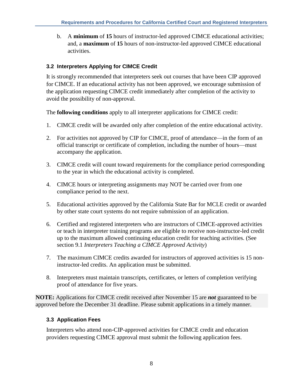b. A **minimum** of **15** hours of instructor-led approved CIMCE educational activities; and, a **maximum** of **15** hours of non-instructor-led approved CIMCE educational activities.

# <span id="page-10-0"></span>**3.2 Interpreters Applying for CIMCE Credit**

It is strongly recommended that interpreters seek out courses that have been CIP approved for CIMCE. If an educational activity has not been approved, we encourage submission of the application requesting CIMCE credit immediately after completion of the activity to avoid the possibility of non-approval.

The **following conditions** apply to all interpreter applications for CIMCE credit:

- 1. CIMCE credit will be awarded only after completion of the entire educational activity.
- 2. For activities not approved by CIP for CIMCE, proof of attendance—in the form of an official transcript or certificate of completion, including the number of hours—must accompany the application.
- 3. CIMCE credit will count toward requirements for the compliance period corresponding to the year in which the educational activity is completed.
- 4. CIMCE hours or interpreting assignments may NOT be carried over from one compliance period to the next.
- 5. Educational activities approved by the California State Bar for MCLE credit or awarded by other state court systems do not require submission of an application.
- 6. Certified and registered interpreters who are instructors of CIMCE-approved activities or teach in interpreter training programs are eligible to receive non-instructor-led credit up to the maximum allowed continuing education credit for teaching activities. (See section 9.1 *Interpreters Teaching a CIMCE Approved Activity*)
- 7. The maximum CIMCE credits awarded for instructors of approved activities is 15 noninstructor-led credits. An application must be submitted.
- 8. Interpreters must maintain transcripts, certificates, or letters of completion verifying proof of attendance for five years.

**NOTE:** Applications for CIMCE credit received after November 15 are *not* guaranteed to be approved before the December 31 deadline. Please submit applications in a timely manner.

# <span id="page-10-1"></span>**3.3 Application Fees**

Interpreters who attend non-CIP-approved activities for CIMCE credit and education providers requesting CIMCE approval must submit the following application fees.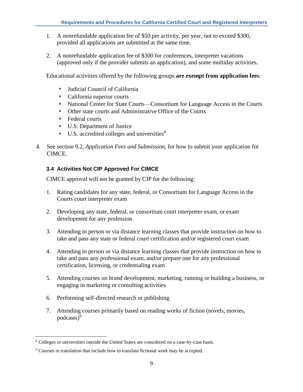- 1. A nonrefundable application fee of \$50 per activity, per year, not to exceed \$300, provided all applications are submitted at the same time.
- 2. A nonrefundable application fee of \$300 for conferences, interpreter vacations (approved only if the provider submits an application), and some multiday activities.

Educational activities offered by the following groups **are exempt from application fees**:

- Judicial Council of California
- California superior courts
- National Center for State Courts—Consortium for Language Access in the Courts
- Other state courts and Administrative Office of the Courts
- Federal courts
- U.S. Department of Justice
- $\blacksquare$  U.S. accredited colleges and universities<sup>8</sup>
- 4. See section 9.2, *Application Fees and Submission,* for how to submit your application for CIMCE.

# <span id="page-11-0"></span>**3.4 Activities Not CIP Approved For CIMCE**

CIMCE approval will not be granted by CIP for the following:

- 1. Rating candidates for any state, federal, or Consortium for Language Access in the Courts court interpreter exam
- 2. Developing any state, federal, or consortium court interpreter exam, or exam development for any profession
- 3. Attending in person or via distance learning classes that provide instruction on how to take and pass any state or federal court certification and/or registered court exam
- 4. Attending in person or via distance learning classes that provide instruction on how to take and pass any professional exam, and/or prepare one for any professional certification, licensing, or credentialing exam
- 5. Attending courses on brand development, marketing, running or building a business, or engaging in marketing or consulting activities
- 6. Performing self-directed research or publishing

 $\overline{a}$ 

7. Attending courses primarily based on reading works of fiction (novels, movies, podcasts)<sup>9</sup>

<sup>8</sup> Colleges or universities outside the United States are considered on a case-by-case basis.

<sup>&</sup>lt;sup>9</sup> Courses in translation that include how to translate fictional work may be accepted.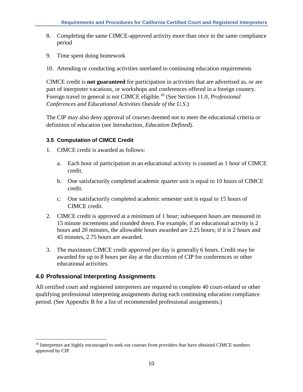- 8. Completing the same CIMCE-approved activity more than once in the same compliance period
- 9. Time spent doing homework
- 10. Attending or conducting activities unrelated to continuing education requirements

CIMCE credit is **not guaranteed** for participation in activities that are advertised as, or are part of interpreter vacations, or workshops and conferences offered in a foreign country. Foreign travel in general is not CIMCE eligible.<sup>10</sup> (See Section 11.0, *Professional Conferences and Educational Activities Outside of the U.S.*)

The CIP may also deny approval of courses deemed not to meet the educational criteria or definition of education (see Introduction, *Education Defined*).

# <span id="page-12-0"></span>**3.5 Computation of CIMCE Credit**

- 1. CIMCE credit is awarded as follows:
	- a. Each hour of participation in an educational activity is counted as 1 hour of CIMCE credit.
	- b. One satisfactorily completed academic quarter unit is equal to 10 hours of CIMCE credit.
	- c. One satisfactorily completed academic semester unit is equal to 15 hours of CIMCE credit.
- 2. CIMCE credit is approved at a minimum of 1 hour; subsequent hours are measured in 15 minute increments and rounded down. For example, if an educational activity is 2 hours and 20 minutes, the allowable hours awarded are 2.25 hours; if it is 2 hours and 45 minutes, 2.75 hours are awarded.
- 3. The maximum CIMCE credit approved per day is generally 6 hours. Credit may be awarded for up to 8 hours per day at the discretion of CIP for conferences or other educational activities.

# <span id="page-12-1"></span>**4.0 Professional Interpreting Assignments**

 $\overline{a}$ 

All certified court and registered interpreters are required to complete 40 court-related or other qualifying professional interpreting assignments during each continuing education compliance period. (See Appendix B for a list of recommended professional assignments.)

<sup>&</sup>lt;sup>10</sup> Interpreters are highly encouraged to seek out courses from providers that have obtained CIMCE numbers approved by CIP.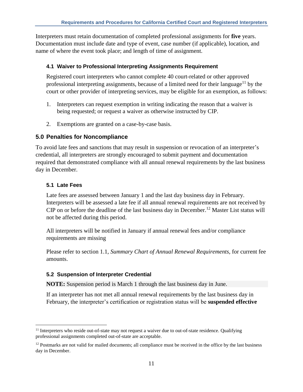Interpreters must retain documentation of completed professional assignments for **five** years. Documentation must include date and type of event, case number (if applicable), location, and name of where the event took place; and length of time of assignment.

#### <span id="page-13-0"></span>**4.1 Waiver to Professional Interpreting Assignments Requirement**

Registered court interpreters who cannot complete 40 court-related or other approved professional interpreting assignments, because of a limited need for their language<sup>11</sup> by the court or other provider of interpreting services, may be eligible for an exemption, as follows:

- 1. Interpreters can request exemption in writing indicating the reason that a waiver is being requested; or request a waiver as otherwise instructed by CIP.
- 2. Exemptions are granted on a case-by-case basis.

# <span id="page-13-1"></span>**5.0 Penalties for Noncompliance**

To avoid late fees and sanctions that may result in suspension or revocation of an interpreter's credential, all interpreters are strongly encouraged to submit payment and documentation required that demonstrated compliance with all annual renewal requirements by the last business day in December.

# <span id="page-13-2"></span>**5.1 Late Fees**

 $\overline{a}$ 

Late fees are assessed between January 1 and the last day business day in February. Interpreters will be assessed a late fee if all annual renewal requirements are not received by CIP on or before the deadline of the last business day in December. <sup>12</sup> Master List status will not be affected during this period.

All interpreters will be notified in January if annual renewal fees and/or compliance requirements are missing

Please refer to section 1.1, *Summary Chart of Annual Renewal Requirements,* for current fee amounts.

#### <span id="page-13-3"></span>**5.2 Suspension of Interpreter Credential**

**NOTE:** Suspension period is March 1 through the last business day in June.

If an interpreter has not met all annual renewal requirements by the last business day in February, the interpreter's certification or registration status will be **suspended effective** 

 $<sup>11</sup>$  Interpreters who reside out-of-state may not request a waiver due to out-of-state residence. Qualifying</sup> professional assignments completed out-of-state are acceptable.

<sup>&</sup>lt;sup>12</sup> Postmarks are not valid for mailed documents; all compliance must be received in the office by the last business day in December.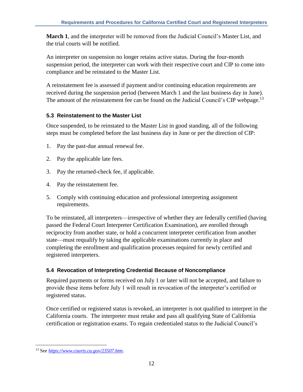**March 1**, and the interpreter will be removed from the Judicial Council's Master List, and the trial courts will be notified.

An interpreter on suspension no longer retains active status. During the four-month suspension period, the interpreter can work with their respective court and CIP to come into compliance and be reinstated to the Master List.

A reinstatement fee is assessed if payment and/or continuing education requirements are received during the suspension period (between March 1 and the last business day in June). The amount of the reinstatement fee can be found on the Judicial Council's CIP webpage.<sup>13</sup>

# <span id="page-14-0"></span>**5.3 Reinstatement to the Master List**

Once suspended, to be reinstated to the Master List in good standing, all of the following steps must be completed before the last business day in June or per the direction of CIP:

- 1. Pay the past-due annual renewal fee.
- 2. Pay the applicable late fees.
- 3. Pay the returned-check fee, if applicable.
- 4. Pay the reinstatement fee.
- 5. Comply with continuing education and professional interpreting assignment requirements.

To be reinstated, all interpreters—irrespective of whether they are federally certified (having passed the Federal Court Interpreter Certification Examination), are enrolled through reciprocity from another state, or hold a concurrent interpreter certification from another state—must requalify by taking the applicable examinations currently in place and completing the enrollment and qualification processes required for newly certified and registered interpreters.

# <span id="page-14-1"></span>**5.4 Revocation of Interpreting Credential Because of Noncompliance**

Required payments or forms received on July 1 or later will not be accepted, and failure to provide these items before July 1 will result in revocation of the interpreter's certified or registered status.

Once certified or registered status is revoked, an interpreter is not qualified to interpret in the California courts. The interpreter must retake and pass all qualifying State of California certification or registration exams. To regain credentialed status to the Judicial Council's

 $\overline{a}$ 

<sup>13</sup> See *https://www.courts.ca.gov/23507.htm*.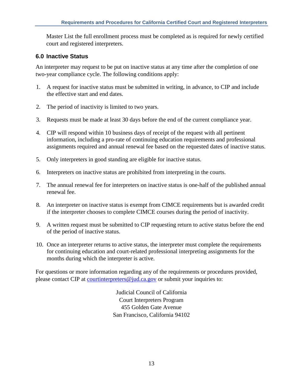Master List the full enrollment process must be completed as is required for newly certified court and registered interpreters.

# <span id="page-15-0"></span>**6.0 Inactive Status**

An interpreter may request to be put on inactive status at any time after the completion of one two-year compliance cycle. The following conditions apply:

- 1. A request for inactive status must be submitted in writing, in advance, to CIP and include the effective start and end dates.
- 2. The period of inactivity is limited to two years.
- 3. Requests must be made at least 30 days before the end of the current compliance year.
- 4. CIP will respond within 10 business days of receipt of the request with all pertinent information, including a pro-rate of continuing education requirements and professional assignments required and annual renewal fee based on the requested dates of inactive status.
- 5. Only interpreters in good standing are eligible for inactive status.
- 6. Interpreters on inactive status are prohibited from interpreting in the courts.
- 7. The annual renewal fee for interpreters on inactive status is one-half of the published annual renewal fee.
- 8. An interpreter on inactive status is exempt from CIMCE requirements but is awarded credit if the interpreter chooses to complete CIMCE courses during the period of inactivity.
- 9. A written request must be submitted to CIP requesting return to active status before the end of the period of inactive status.
- 10. Once an interpreter returns to active status, the interpreter must complete the requirements for continuing education and court-related professional interpreting assignments for the months during which the interpreter is active.

For questions or more information regarding any of the requirements or procedures provided, please contact CIP at [courtinterpreters@jud.ca.gov](mailto:courtinterpreters@jud.ca.gov) or submit your inquiries to:

> Judicial Council of California Court Interpreters Program 455 Golden Gate Avenue San Francisco, California 94102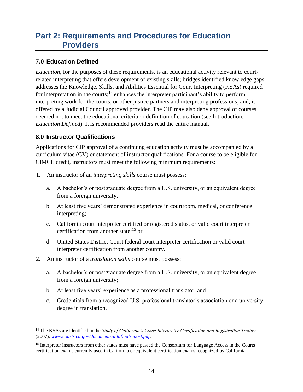# <span id="page-16-0"></span>**Part 2: Requirements and Procedures for Education Providers**

# <span id="page-16-1"></span>**7.0 Education Defined**

*Education*, for the purposes of these requirements, is an educational activity relevant to courtrelated interpreting that offers development of existing skills; bridges identified knowledge gaps; addresses the Knowledge, Skills, and Abilities Essential for Court Interpreting (KSAs) required for interpretation in the courts;<sup>14</sup> enhances the interpreter participant's ability to perform interpreting work for the courts, or other justice partners and interpreting professions; and, is offered by a Judicial Council approved provider. The CIP may also deny approval of courses deemed not to meet the educational criteria or definition of education (see Introduction, *Education Defined*). It is recommended providers read the entire manual.

#### <span id="page-16-2"></span>**8.0 Instructor Qualifications**

 $\overline{a}$ 

Applications for CIP approval of a continuing education activity must be accompanied by a curriculum vitae (CV) or statement of instructor qualifications. For a course to be eligible for CIMCE credit, instructors must meet the following minimum requirements:

- 1. An instructor of an *interpreting skills* course must possess:
	- a. A bachelor's or postgraduate degree from a U.S. university, or an equivalent degree from a foreign university;
	- b. At least five years' demonstrated experience in courtroom, medical, or conference interpreting;
	- c. California court interpreter certified or registered status, or valid court interpreter certification from another state; $^{15}$  or
	- d. United States District Court federal court interpreter certification or valid court interpreter certification from another country.
- 2. An instructor of a *translation skills* course must possess:
	- a. A bachelor's or postgraduate degree from a U.S. university, or an equivalent degree from a foreign university;
	- b. At least five years' experience as a professional translator; and
	- c. Credentials from a recognized U.S. professional translator's association or a university degree in translation.

<sup>14</sup> The KSAs are identified in the *Study of California's Court Interpreter Certification and Registration Testing* (2007), *[www.courts.ca.gov/documents/altafinalreport.pdf](file:///C:/Users/KGernand/AppData/Roaming/Microsoft/Word/www.courts.ca.gov/documents/altafinalreport.pdf)*.

<sup>&</sup>lt;sup>15</sup> Interpreter instructors from other states must have passed the Consortium for Language Access in the Courts certification exams currently used in California or equivalent certification exams recognized by California.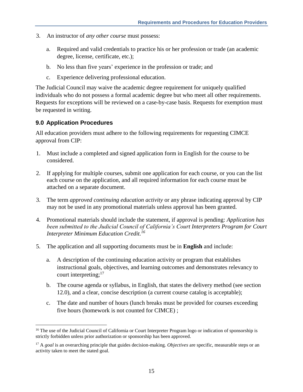- 3. An instructor of *any other course* must possess:
	- a. Required and valid credentials to practice his or her profession or trade (an academic degree, license, certificate, etc.);
	- b. No less than five years' experience in the profession or trade; and
	- c. Experience delivering professional education.

The Judicial Council may waive the academic degree requirement for uniquely qualified individuals who do not possess a formal academic degree but who meet all other requirements. Requests for exceptions will be reviewed on a case-by-case basis. Requests for exemption must be requested in writing.

#### <span id="page-17-0"></span>**9.0 Application Procedures**

 $\overline{a}$ 

All education providers must adhere to the following requirements for requesting CIMCE approval from CIP:

- 1. Must include a completed and signed application form in English for the course to be considered.
- 2. If applying for multiple courses, submit one application for each course, or you can the list each course on the application, and all required information for each course must be attached on a separate document.
- 3. The term *approved continuing education activity* or any phrase indicating approval by CIP may not be used in any promotional materials unless approval has been granted.
- 4. Promotional materials should include the statement, if approval is pending: *Application has been submitted to the Judicial Council of California's Court Interpreters Program for Court Interpreter Minimum Education Credit.<sup>16</sup>*
- 5. The application and all supporting documents must be in **English** and include:
	- a. A description of the continuing education activity or program that establishes instructional goals, objectives, and learning outcomes and demonstrates relevancy to court interpreting;<sup>17</sup>
	- b. The course agenda or syllabus, in English, that states the delivery method (see section 12.0), and a clear, concise description (a current course catalog is acceptable);
	- c. The date and number of hours (lunch breaks must be provided for courses exceeding five hours (homework is not counted for CIMCE) ;

<sup>&</sup>lt;sup>16</sup> The use of the Judicial Council of California or Court Interpreter Program logo or indication of sponsorship is strictly forbidden unless prior authorization or sponsorship has been approved.

<sup>17</sup> A *goal* is an overarching principle that guides decision-making. *Objectives* are specific, measurable steps or an activity taken to meet the stated goal.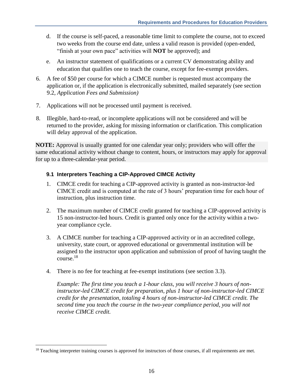- d. If the course is self-paced, a reasonable time limit to complete the course, not to exceed two weeks from the course end date, unless a valid reason is provided (open-ended, "finish at your own pace" activities will **NOT** be approved); and
- e. An instructor statement of qualifications or a current CV demonstrating ability and education that qualifies one to teach the course, except for fee-exempt providers.
- 6. A fee of \$50 per course for which a CIMCE number is requested must accompany the application or, if the application is electronically submitted, mailed separately (see section 9.2, *Application Fees and Submission)*
- 7. Applications will not be processed until payment is received.
- 8. Illegible, hard-to-read, or incomplete applications will not be considered and will be returned to the provider, asking for missing information or clarification. This complication will delay approval of the application.

**NOTE:** Approval is usually granted for one calendar year only; providers who will offer the same educational activity without change to content, hours, or instructors may apply for approval for up to a three-calendar-year period.

#### <span id="page-18-0"></span>**9.1 Interpreters Teaching a CIP-Approved CIMCE Activity**

- 1. CIMCE credit for teaching a CIP-approved activity is granted as non-instructor-led CIMCE credit and is computed at the rate of 3 hours' preparation time for each hour of instruction, plus instruction time.
- 2. The maximum number of CIMCE credit granted for teaching a CIP-approved activity is 15 non-instructor-led hours. Credit is granted only once for the activity within a twoyear compliance cycle.
- 3. A CIMCE number for teaching a CIP-approved activity or in an accredited college, university, state court, or approved educational or governmental institution will be assigned to the instructor upon application and submission of proof of having taught the course. 18
- 4. There is no fee for teaching at fee-exempt institutions (see section 3.3).

*Example: The first time you teach a 1-hour class, you will receive 3 hours of noninstructor-led CIMCE credit for preparation, plus 1 hour of non-instructor-led CIMCE credit for the presentation, totaling 4 hours of non-instructor-led CIMCE credit. The second time you teach the course in the two-year compliance period, you will not receive CIMCE credit.*

 $\overline{a}$ 

<sup>&</sup>lt;sup>18</sup> Teaching interpreter training courses is approved for instructors of those courses, if all requirements are met.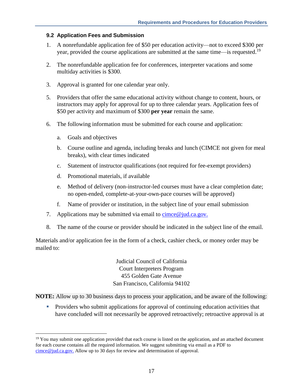#### <span id="page-19-0"></span>**9.2 Application Fees and Submission**

- 1. A nonrefundable application fee of \$50 per education activity—not to exceed \$300 per year, provided the course applications are submitted at the same time—is requested.<sup>19</sup>
- 2. The nonrefundable application fee for conferences, interpreter vacations and some multiday activities is \$300.
- 3. Approval is granted for one calendar year only.
- 5. Providers that offer the same educational activity without change to content, hours, or instructors may apply for approval for up to three calendar years. Application fees of \$50 per activity and maximum of \$300 **per year** remain the same.
- 6. The following information must be submitted for each course and application:
	- a. Goals and objectives

 $\overline{a}$ 

- b. Course outline and agenda, including breaks and lunch (CIMCE not given for meal breaks), with clear times indicated
- c. Statement of instructor qualifications (not required for fee-exempt providers)
- d. Promotional materials, if available
- e. Method of delivery (non-instructor-led courses must have a clear completion date; no open-ended, complete-at-your-own-pace courses will be approved)
- f. Name of provider or institution, in the subject line of your email submission
- 7. Applications may be submitted via email to cimce  $\omega$  jud.ca.gov.
- 8. The name of the course or provider should be indicated in the subject line of the email.

Materials and/or application fee in the form of a check, cashier check, or money order may be mailed to:

> Judicial Council of California Court Interpreters Program 455 Golden Gate Avenue San Francisco, California 94102

**NOTE:** Allow up to 30 business days to process your application, and be aware of the following:

■ Providers who submit applications for approval of continuing education activities that have concluded will not necessarily be approved retroactively; retroactive approval is at

<sup>&</sup>lt;sup>19</sup> You may submit one application provided that each course is listed on the application, and an attached document for each course contains all the required information. We suggest submitting via email as a PDF to [cimce@jud.ca.gov.](mailto:cimce@jud.ca.gov) Allow up to 30 days for review and determination of approval.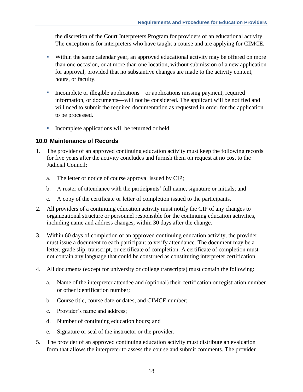the discretion of the Court Interpreters Program for providers of an educational activity. The exception is for interpreters who have taught a course and are applying for CIMCE.

- Within the same calendar year, an approved educational activity may be offered on more than one occasion, or at more than one location, without submission of a new application for approval, provided that no substantive changes are made to the activity content, hours, or faculty.
- Incomplete or illegible applications—or applications missing payment, required information, or documents—will not be considered. The applicant will be notified and will need to submit the required documentation as requested in order for the application to be processed.
- Incomplete applications will be returned or held.

# <span id="page-20-0"></span>**10.0 Maintenance of Records**

- 1. The provider of an approved continuing education activity must keep the following records for five years after the activity concludes and furnish them on request at no cost to the Judicial Council:
	- a. The letter or notice of course approval issued by CIP;
	- b. A roster of attendance with the participants' full name, signature or initials; and
	- c. A copy of the certificate or letter of completion issued to the participants.
- 2. All providers of a continuing education activity must notify the CIP of any changes to organizational structure or personnel responsible for the continuing education activities, including name and address changes, within 30 days after the change.
- 3. Within 60 days of completion of an approved continuing education activity, the provider must issue a document to each participant to verify attendance. The document may be a letter, grade slip, transcript, or certificate of completion. A certificate of completion must not contain any language that could be construed as constituting interpreter certification.
- 4. All documents (except for university or college transcripts) must contain the following:
	- a. Name of the interpreter attendee and (optional) their certification or registration number or other identification number;
	- b. Course title, course date or dates, and CIMCE number;
	- c. Provider's name and address;
	- d. Number of continuing education hours; and
	- e. Signature or seal of the instructor or the provider.
- 5. The provider of an approved continuing education activity must distribute an evaluation form that allows the interpreter to assess the course and submit comments. The provider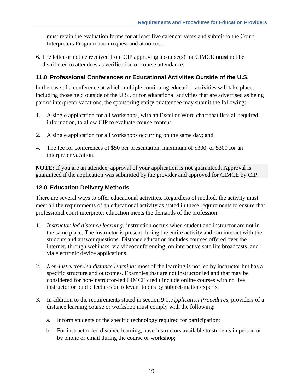must retain the evaluation forms for at least five calendar years and submit to the Court Interpreters Program upon request and at no cost.

6. The letter or notice received from CIP approving a course(s) for CIMCE **must** not be distributed to attendees as verification of course attendance.

# <span id="page-21-0"></span>**11.0 Professional Conferences or Educational Activities Outside of the U.S.**

In the case of a conference at which multiple continuing education activities will take place, including those held outside of the U.S., or for educational activities that are advertised as being part of interpreter vacations, the sponsoring entity or attendee may submit the following:

- 1. A single application for all workshops, with an Excel or Word chart that lists all required information, to allow CIP to evaluate course content;
- 2. A single application for all workshops occurring on the same day; and
- 4. The fee for conferences of \$50 per presentation, maximum of \$300, or \$300 for an interpreter vacation.

**NOTE:** If you are an attendee, approval of your application is **not** guaranteed. Approval is guaranteed if the application was submitted by the provider and approved for CIMCE by CIP**.**

# <span id="page-21-1"></span>**12.0 Education Delivery Methods**

There are several ways to offer educational activities. Regardless of method, the activity must meet all the requirements of an educational activity as stated in these requirements to ensure that professional court interpreter education meets the demands of the profession.

- 1. *Instructor-led distance learning:* instruction occurs when student and instructor are not in the same place. The instructor is present during the entire activity and can interact with the students and answer questions. Distance education includes courses offered over the internet, through webinars, via videoconferencing, on interactive satellite broadcasts, and via electronic device applications.
- 2. *Non-instructor-led distance learning:* most of the learning is not led by instructor but has a specific structure and outcomes. Examples that are not instructor led and that may be considered for non-instructor-led CIMCE credit include online courses with no live instructor or public lectures on relevant topics by subject-matter experts.
- 3. In addition to the requirements stated in section 9.0, *Application Procedures*, providers of a distance learning course or workshop must comply with the following:
	- a. Inform students of the specific technology required for participation;
	- b. For instructor-led distance learning, have instructors available to students in person or by phone or email during the course or workshop;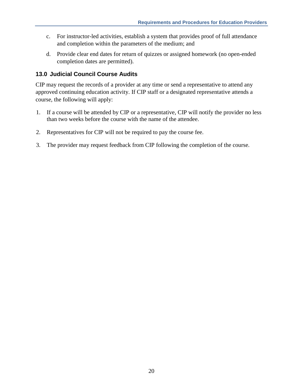- c. For instructor-led activities, establish a system that provides proof of full attendance and completion within the parameters of the medium; and
- d. Provide clear end dates for return of quizzes or assigned homework (no open-ended completion dates are permitted).

# <span id="page-22-0"></span>**13.0 Judicial Council Course Audits**

CIP may request the records of a provider at any time or send a representative to attend any approved continuing education activity. If CIP staff or a designated representative attends a course, the following will apply:

- 1. If a course will be attended by CIP or a representative, CIP will notify the provider no less than two weeks before the course with the name of the attendee.
- 2. Representatives for CIP will not be required to pay the course fee.
- 3. The provider may request feedback from CIP following the completion of the course.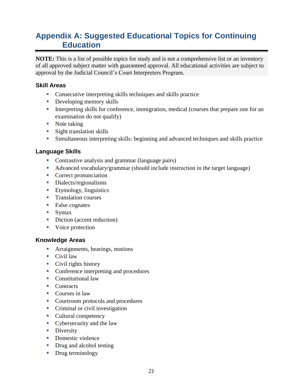# <span id="page-23-0"></span>**Appendix A: Suggested Educational Topics for Continuing Education**

**NOTE:** This is a list of possible topics for study and is not a comprehensive list or an inventory of all approved subject matter with guaranteed approval. All educational activities are subject to approval by the Judicial Council's Court Interpreters Program.

#### **Skill Areas**

- Consecutive interpreting skills techniques and skills practice
- **•** Developing memory skills
- **•** Interpreting skills for conference, immigration, medical (courses that prepare one for an examination do not qualify)
- Note taking
- **E** Sight translation skills
- **EXECUTE:** Simultaneous interpreting skills: beginning and advanced techniques and skills practice

# **Language Skills**

- Contrastive analysis and grammar (language pairs)
- Advanced vocabulary/grammar (should include instruction in the target language)
- Correct pronunciation
- Dialects/regionalisms
- Etymology, linguistics
- **Translation courses**
- False cognates
- $\blacksquare$  Syntax
- Diction (accent reduction)
- Voice protection

#### **Knowledge Areas**

- **EXECUTE:** Arraignments, hearings, motions
- $\blacksquare$  Civil law
- Civil rights history
- Conference interpreting and procedures
- Constitutional law
- Contracts
- Courses in law
- Courtroom protocols and procedures
- Criminal or civil investigation
- Cultural competency
- Cybersecurity and the law
- **•** Diversity
- Domestic violence
- Drug and alcohol testing
- **•** Drug terminology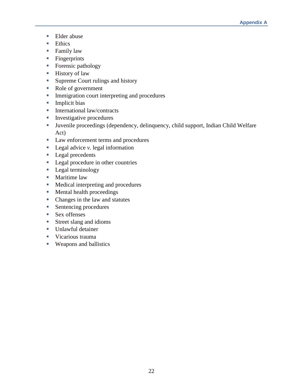- Elder abuse
- Ethics
- Family law
- **·** Fingerprints
- Forensic pathology
- **Exercise History of law**
- Supreme Court rulings and history
- Role of government
- **Immigration court interpreting and procedures**
- Implicit bias
- International law/contracts
- **Investigative procedures**
- Juvenile proceedings (dependency, delinquency, child support, Indian Child Welfare Act)
- Law enforcement terms and procedures
- Legal advice *v*. legal information
- Legal precedents
- **•** Legal procedure in other countries
- **•** Legal terminology
- Maritime law
- Medical interpreting and procedures
- Mental health proceedings
- Changes in the law and statutes
- Sentencing procedures
- Sex offenses
- Street slang and idioms
- Unlawful detainer
- **•** Vicarious trauma
- Weapons and ballistics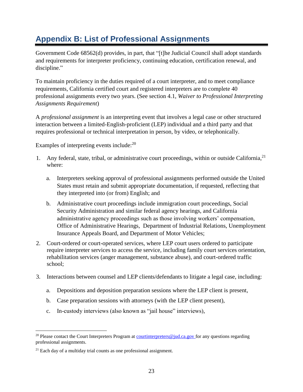# <span id="page-25-0"></span>**Appendix B: List of Professional Assignments**

Government Code 68562(d) provides, in part, that "[t]he Judicial Council shall adopt standards and requirements for interpreter proficiency, continuing education, certification renewal, and discipline."

To maintain proficiency in the duties required of a court interpreter, and to meet compliance requirements, California certified court and registered interpreters are to complete 40 professional assignments every two years. (See section 4.1, *Waiver to Professional Interpreting Assignments Requirement*)

A *professional assignment* is an interpreting event that involves a legal case or other structured interaction between a limited-English-proficient (LEP) individual and a third party and that requires professional or technical interpretation in person, by video, or telephonically.

Examples of interpreting events include:<sup>20</sup>

- 1. Any federal, state, tribal, or administrative court proceedings, within or outside California, <sup>21</sup> where:
	- a. Interpreters seeking approval of professional assignments performed outside the United States must retain and submit appropriate documentation, if requested, reflecting that they interpreted into (or from) English; and
	- b. Administrative court proceedings include immigration court proceedings, Social Security Administration and similar federal agency hearings, and California administrative agency proceedings such as those involving workers' compensation, Office of Administrative Hearings, Department of Industrial Relations, Unemployment Insurance Appeals Board, and Department of Motor Vehicles;
- 2. Court-ordered or court-operated services, where LEP court users ordered to participate require interpreter services to access the service, including family court services orientation, rehabilitation services (anger management, substance abuse), and court-ordered traffic school;
- 3. Interactions between counsel and LEP clients/defendants to litigate a legal case, including:
	- a. Depositions and deposition preparation sessions where the LEP client is present,
	- b. Case preparation sessions with attorneys (with the LEP client present),
	- c. In-custody interviews (also known as "jail house" interviews),

 $\overline{a}$ 

<sup>&</sup>lt;sup>20</sup> Please contact the Court Interpreters Program at courtinterpreters  $\mathcal{Q}_i$  ind.ca.gov for any questions regarding professional assignments.

 $21$  Each day of a multiday trial counts as one professional assignment.